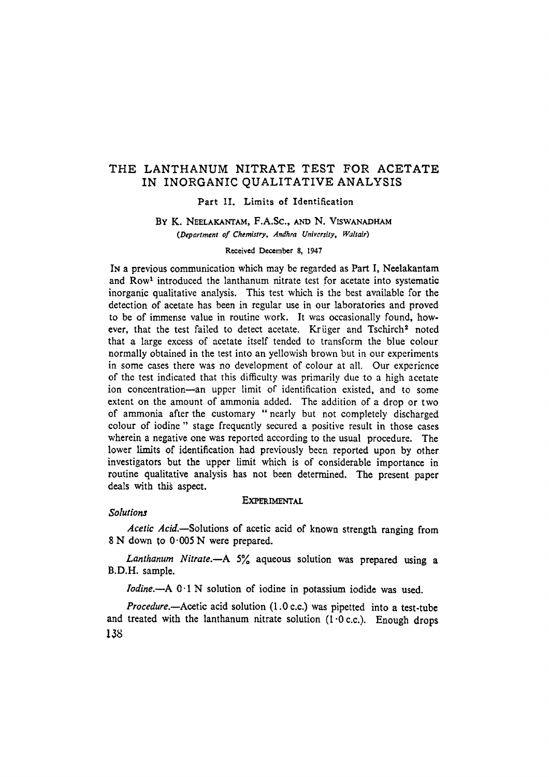# THE LANTHANUM NITRATE TEST FOR ACETATE IN INORGANIC QUALITATIVE ANALYSIS

#### Part II. Limits of Identification

## BY K. NEELAKANTAM, F.A.SC., AND N. VISWANADHAM *(Department of Chemistry, Andhra University, IValtair)*

#### Received December 8, 1947

IN a previous communication which may be regarded as Part I, Neelakantam and Row<sup>1</sup> introduced the lanthanum nitrate test for acetate into systematic inorganic qualitative analysis. This test which is the best available for the detection of acetate has been in regular use in our laboratories and proved to be of immense value in routine work. It was occasionally found, however, that the test failed to detect acetate. Krüger and Tschirch<sup>2</sup> noted that a large excess of acetate itself tended to transform the blue colour normally obtained in the test into an yellowish brown but in our experiments in some cases there was no development of colour at all. Our experience of the test indicated that this difficulty was primarily due to a high acetate ion concentration--an upper limit of identification existed, and to some extent on the amount of ammonia added. The addition of a drop or two of ammonia after the customary " nearly but not completely discharged colour of iodine " stage frequently secured a positive result in those cases wherein a negative one was reported according to the usual procedure. The lower limits of identification had previously been reported upon by other investigators but the upper limit which is of considerable importance in routine qualitative analysis has not been determined. The present paper deals with this aspect.

## EXPERIMENTAL

## *Solutions*

*Acetic Acid.--Solutions* of acetie acid of' known strength ranging from 8 N down to 0.005 N were prepared.

*Lanthanum Nitrate.~A* 5% aqueous solution was prepared using a B.D.H. sample.

*lodine.~A* 0.1 N solution of iodine in potassium iodide was used.

*Procedure.~Acetic* acid solution (1.0 e.c.) was pipetted into a test-tube and treated with the lanthanum nitrate solution  $(1 \cdot 0 \text{ c.c.})$ . Enough drops 138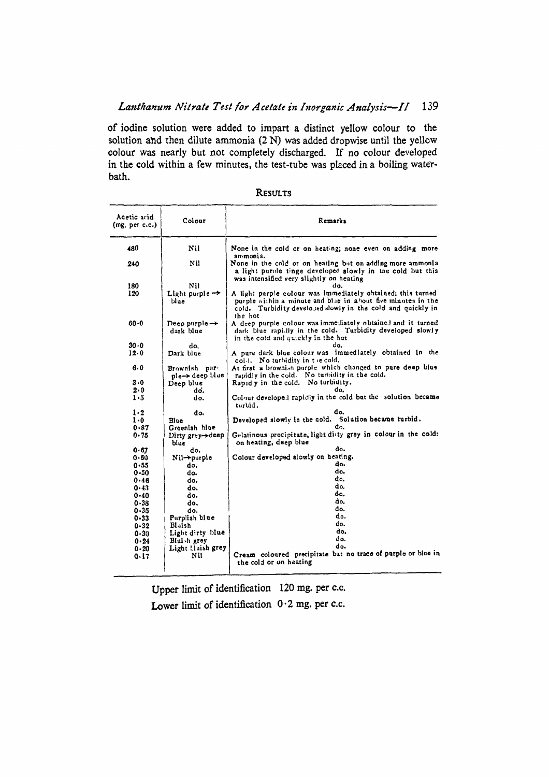# Lanthanum Nitrate Test for Acetate in Inorganic Analysis-II 139

**of iodine solution were added to impart a distinct yellow eolour to the**  solution and then dilute ammonia (2 N) was added dropwise until the yellow colour was nearly but not completely discharged. If no colour developed in the cold within a few minutes, the test-tube was placed in a boiling water**bath.** 

| Acetic acid<br>(mg, per c.c.) | Colour                                 | Remarks                                                                                                                                                                                               |
|-------------------------------|----------------------------------------|-------------------------------------------------------------------------------------------------------------------------------------------------------------------------------------------------------|
| 480                           | Nil                                    | None in the cold or on heating; none even on adding more<br>an monia.                                                                                                                                 |
| 240                           | Nil                                    | None in the cold or on heating but on adding more ammonia<br>a light purole tinge developed slowly in the cold but this<br>was intensified very slightly on heating                                   |
| 180                           | NĦ                                     | do.                                                                                                                                                                                                   |
| 120                           | Light purple $\rightarrow$<br>blue     | A light purple colour was immediately obtained; this turned<br>purple within a minute and blue in about five minutes in the<br>cold. Turbidity developed slowly in the cold and quickly in<br>the hot |
| $60 - 0$                      | Deep purple $\rightarrow$<br>dark blue | A deep purple colour was immediately obtained and it turned<br>dark blue rapilly in the cold. Turbidity developed slowly<br>in the cold and quickly in the hot                                        |
| $30 - 0$                      | do.                                    | do.                                                                                                                                                                                                   |
| 12.0                          | Dark blue                              | A pure dark blue colour was immediately obtained in the<br>coll. No turbidity in the cold.                                                                                                            |
| 6.0                           | Brownish pur-<br>ple-> deep blue       | At first a brownish purple which changed to pure deep blue<br>rapidly in the cold. No turbidity in the cold.                                                                                          |
| 3.0                           | Deep blue                              | Rapidly in the cold. No turbidity.                                                                                                                                                                    |
| 2.0                           | do.                                    |                                                                                                                                                                                                       |
| $1 - 5$                       | do.                                    | Colour developed rapidly in the cold but the solution became<br>turbid.                                                                                                                               |
| 1.2                           | do.                                    | do.                                                                                                                                                                                                   |
| $1 - 0$                       | Blue                                   | Developed slowly in the cold. Solution became turbid.                                                                                                                                                 |
| 0.87                          | Greenish blue                          | đ٥.                                                                                                                                                                                                   |
| $0 - 75$                      | Dirty $grY \rightarrow deg$<br>blue    | Gelatinous precipitate, light diity grey in colour in the cold:<br>on heating, deep blue                                                                                                              |
| 0.67                          | do.                                    | đ٥.                                                                                                                                                                                                   |
| 0.60                          | $Nil \rightarrow$ purple               | Colour developed slowly on heating.                                                                                                                                                                   |
| 0.55                          | do.                                    | d٥.                                                                                                                                                                                                   |
| $0 - 50$                      | do.                                    | do.                                                                                                                                                                                                   |
| 0.46                          | do.                                    | do.                                                                                                                                                                                                   |
| 0.43                          | do.                                    | do.                                                                                                                                                                                                   |
| $0 - 40$                      | do.                                    | do.                                                                                                                                                                                                   |
| 0.38                          | do.                                    | do.                                                                                                                                                                                                   |
| 0.35                          | do.                                    | do.                                                                                                                                                                                                   |
| 0-33                          | Purplish blue                          | do.                                                                                                                                                                                                   |
| $0 - 32$                      | Blaish                                 | do.                                                                                                                                                                                                   |
| 0.30                          | Light dirty blue                       | do.                                                                                                                                                                                                   |
| $0 - 24$                      | Bluish grey                            | do.                                                                                                                                                                                                   |
| $0 - 20$                      | Light Huish grey                       | do.                                                                                                                                                                                                   |
| 0.17                          | Nil                                    | Cream coloured precipitate but no trace of purple or blue in<br>the cold or on heating                                                                                                                |
|                               |                                        |                                                                                                                                                                                                       |

Upper limit of identification 120 mg. per c.c. Lower limit of identification  $0.2$  mg. per c.c.